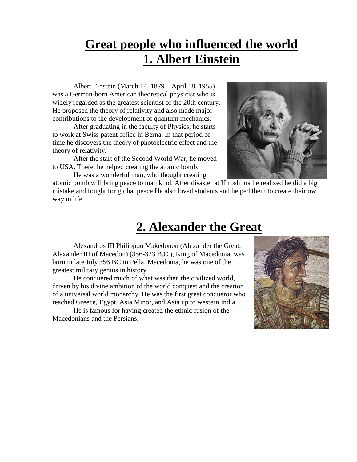## **Great people who influenced the world 1. Albert Einstein**

Albert Einstein (March 14, 1879 – April 18, 1955) was a German-born American theoretical physicist who is widely regarded as the greatest scientist of the 20th century. He proposed the theory of relativity and also made major contributions to the development of quantum mechanics.

After graduating in the faculty of Physics, he starts to work at Swiss patent office in Berna. In that period of time he discovers the theory of photoelectric effect and the theory of relativity.

 After the start of the Second World War, he moved to USA. There, he helped creating the atomic bomb.

He was a wonderful man, who thought creating



atomic bomb will bring peace to man kind. After disaster at Hiroshima he realized he did a big mistake and fought for global peace.He also loved students and helped them to create their own way in life.

## **2. Alexander the Great**

Alexandros III Philippou Makedonon (Alexander the Great, Alexander III of Macedon) (356-323 B.C.), King of Macedonia, was born in late July 356 BC in Pella, Macedonia, he was one of the greatest military genius in history.

He conquered much of what was then the civilized world, driven by his divine ambition of the world conquest and the creation of a universal world monarchy. He was the first great conqueror who reached Greece, Egypt, Asia Minor, and Asia up to western India.

He is famous for having created the ethnic fusion of the Macedonians and the Persians.